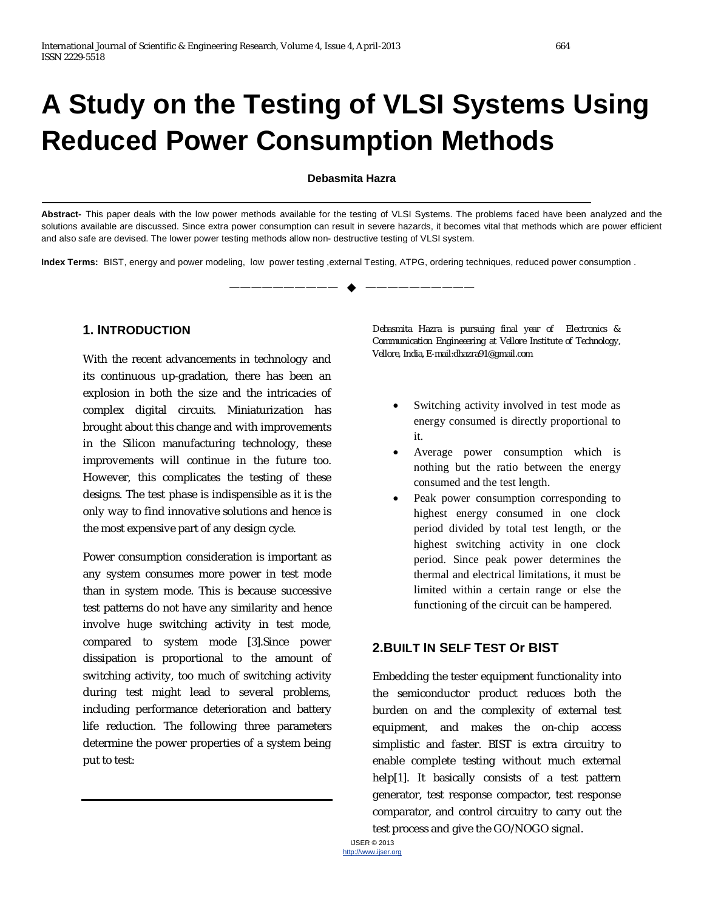# **A Study on the Testing of VLSI Systems Using Reduced Power Consumption Methods**

#### **Debasmita Hazra**

**Abstract-** This paper deals with the low power methods available for the testing of VLSI Systems. The problems faced have been analyzed and the solutions available are discussed. Since extra power consumption can result in severe hazards, it becomes vital that methods which are power efficient and also safe are devised. The lower power testing methods allow non- destructive testing of VLSI system.

—————————— ——————————

**Index Terms:** BIST, energy and power modeling, low power testing ,external Testing, ATPG, ordering techniques, reduced power consumption .

#### **1. INTRODUCTION**

With the recent advancements in technology and its continuous up-gradation, there has been an explosion in both the size and the intricacies of complex digital circuits. Miniaturization has brought about this change and with improvements in the Silicon manufacturing technology, these improvements will continue in the future too. However, this complicates the testing of these designs. The test phase is indispensible as it is the only way to find innovative solutions and hence is the most expensive part of any design cycle.

Power consumption consideration is important as any system consumes more power in test mode than in system mode. This is because successive test patterns do not have any similarity and hence involve huge switching activity in test mode, compared to system mode [3].Since power dissipation is proportional to the amount of switching activity, too much of switching activity during test might lead to several problems, including performance deterioration and battery life reduction. The following three parameters determine the power properties of a system being put to test:

*Debasmita Hazra is pursuing final year of Electronics & Communication Engineeering at Vellore Institute of Technology, Vellore, India, E-mail:dhazra91@gmail.com*

- Switching activity involved in test mode as energy consumed is directly proportional to it.
- Average power consumption which is nothing but the ratio between the energy consumed and the test length.
- Peak power consumption corresponding to highest energy consumed in one clock period divided by total test length, or the highest switching activity in one clock period. Since peak power determines the thermal and electrical limitations, it must be limited within a certain range or else the functioning of the circuit can be hampered.

#### **2.BUILT IN SELF TEST Or BIST**

Embedding the tester equipment functionality into the semiconductor product reduces both the burden on and the complexity of external test equipment, and makes the on-chip access simplistic and faster. BIST is extra circuitry to enable complete testing without much external help[1]. It basically consists of a test pattern generator, test response compactor, test response comparator, and control circuitry to carry out the test process and give the GO/NOGO signal.

IJSER © 2013 http://www.ijser.org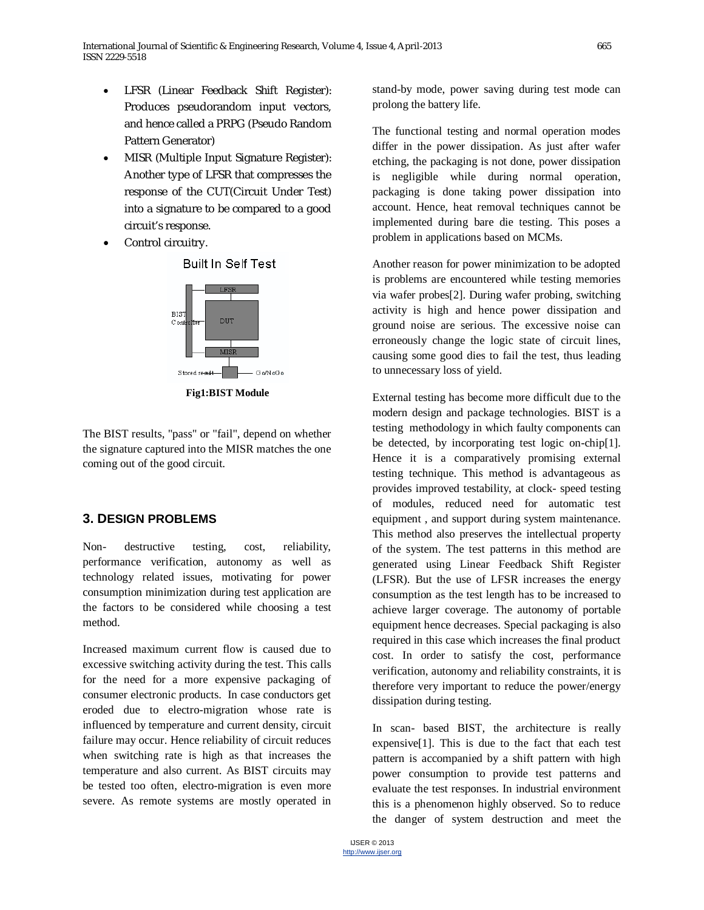- LFSR (Linear Feedback Shift Register): Produces pseudorandom input vectors, and hence called a PRPG (Pseudo Random Pattern Generator)
- MISR (Multiple Input Signature Register): Another type of LFSR that compresses the response of the CUT(Circuit Under Test) into a signature to be compared to a good circuit's response.
- Control circuitry.



**Built In Self Test** 

**Fig1:BIST Module**

The BIST results, "pass" or "fail", depend on whether the signature captured into the MISR matches the one coming out of the good circuit.

# **3. DESIGN PROBLEMS**

Non- destructive testing, cost, reliability, performance verification, autonomy as well as technology related issues, motivating for power consumption minimization during test application are the factors to be considered while choosing a test method.

Increased maximum current flow is caused due to excessive switching activity during the test. This calls for the need for a more expensive packaging of consumer electronic products. In case conductors get eroded due to electro-migration whose rate is influenced by temperature and current density, circuit failure may occur. Hence reliability of circuit reduces when switching rate is high as that increases the temperature and also current. As BIST circuits may be tested too often, electro-migration is even more severe. As remote systems are mostly operated in stand-by mode, power saving during test mode can prolong the battery life.

The functional testing and normal operation modes differ in the power dissipation. As just after wafer etching, the packaging is not done, power dissipation is negligible while during normal operation, packaging is done taking power dissipation into account. Hence, heat removal techniques cannot be implemented during bare die testing. This poses a problem in applications based on MCMs.

Another reason for power minimization to be adopted is problems are encountered while testing memories via wafer probes[2]. During wafer probing, switching activity is high and hence power dissipation and ground noise are serious. The excessive noise can erroneously change the logic state of circuit lines, causing some good dies to fail the test, thus leading to unnecessary loss of yield.

External testing has become more difficult due to the modern design and package technologies. BIST is a testing methodology in which faulty components can be detected, by incorporating test logic on-chip[1]. Hence it is a comparatively promising external testing technique. This method is advantageous as provides improved testability, at clock- speed testing of modules, reduced need for automatic test equipment , and support during system maintenance. This method also preserves the intellectual property of the system. The test patterns in this method are generated using Linear Feedback Shift Register (LFSR). But the use of LFSR increases the energy consumption as the test length has to be increased to achieve larger coverage. The autonomy of portable equipment hence decreases. Special packaging is also required in this case which increases the final product cost. In order to satisfy the cost, performance verification, autonomy and reliability constraints, it is therefore very important to reduce the power/energy dissipation during testing.

In scan- based BIST, the architecture is really expensive[1]. This is due to the fact that each test pattern is accompanied by a shift pattern with high power consumption to provide test patterns and evaluate the test responses. In industrial environment this is a phenomenon highly observed. So to reduce the danger of system destruction and meet the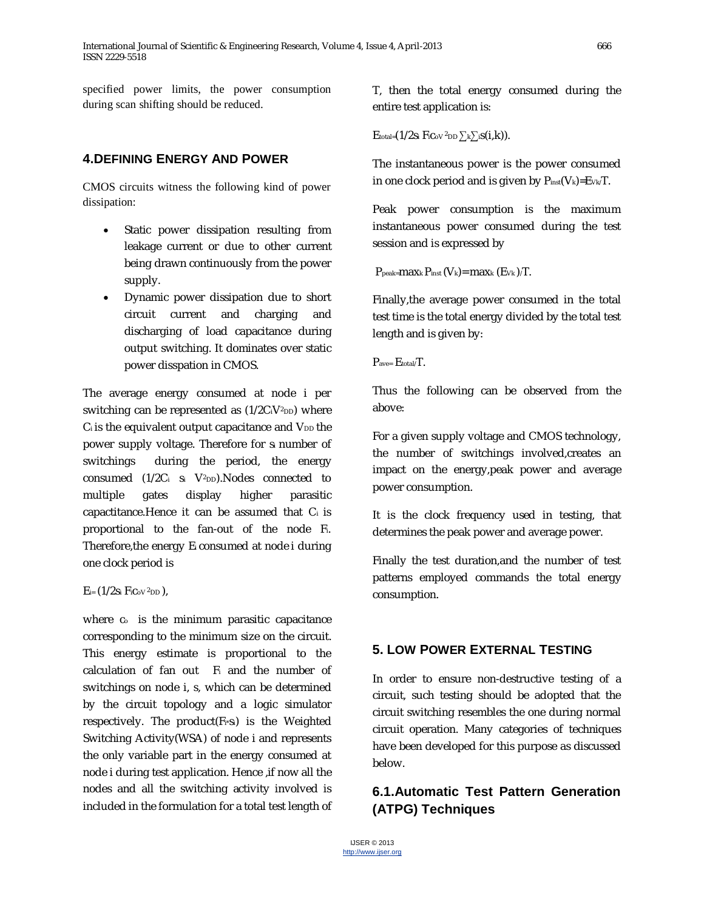specified power limits, the power consumption during scan shifting should be reduced.

# **4.DEFINING ENERGY AND POWER**

CMOS circuits witness the following kind of power dissipation:

- Static power dissipation resulting from leakage current or due to other current being drawn continuously from the power supply.
- Dynamic power dissipation due to short circuit current and charging and discharging of load capacitance during output switching. It dominates over static power disspation in CMOS.

The average energy consumed at node i per switching can be represented as  $(1/2C_1V^2D_D)$  where  $C_i$  is the equivalent output capacitance and  $V_{DD}$  the power supply voltage. Therefore for si number of switchings during the period, the energy consumed  $(1/2C_i$  s<sub>i</sub>  $V^2_{DD}$ ). Nodes connected to multiple gates display higher parasitic capactitance.Hence it can be assumed that Ci is proportional to the fan-out of the node Fi. Therefore,the energy Ei consumed at node i during one clock period is

 $E_i = (1/2s_i F_iC_0V^2DD)$ ,

where c<sub>o</sub> is the minimum parasitic capacitance corresponding to the minimum size on the circuit. This energy estimate is proportional to the calculation of fan out F<sup>i</sup> and the number of switchings on node i, s, which can be determined by the circuit topology and a logic simulator respectively. The product(Fi\*si) is the Weighted Switching Activity(WSA) of node i and represents the only variable part in the energy consumed at node i during test application. Hence , if now all the nodes and all the switching activity involved is included in the formulation for a total test length of T, then the total energy consumed during the entire test application is:

Etotal= $(1/2s_i$  FiCov <sup>2</sup>DD  $\sum_k \sum_i s(i, k)$ .

The instantaneous power is the power consumed in one clock period and is given by  $P_{inst}(V_k)=E_{Vk}/T$ .

Peak power consumption is the maximum instantaneous power consumed during the test session and is expressed by

 $P_{\text{peak}}$ maxk  $P_{\text{inst}}(V_k)$ = maxk  $(E_{Vk})/T$ .

Finally,the average power consumed in the total test time is the total energy divided by the total test length and is given by:

Pave= Etotal/T.

Thus the following can be observed from the above:

For a given supply voltage and CMOS technology, the number of switchings involved,creates an impact on the energy,peak power and average power consumption.

It is the clock frequency used in testing, that determines the peak power and average power.

Finally the test duration,and the number of test patterns employed commands the total energy consumption.

# **5. LOW POWER EXTERNAL TESTING**

In order to ensure non-destructive testing of a circuit, such testing should be adopted that the circuit switching resembles the one during normal circuit operation. Many categories of techniques have been developed for this purpose as discussed below.

# **6.1.Automatic Test Pattern Generation (ATPG) Techniques**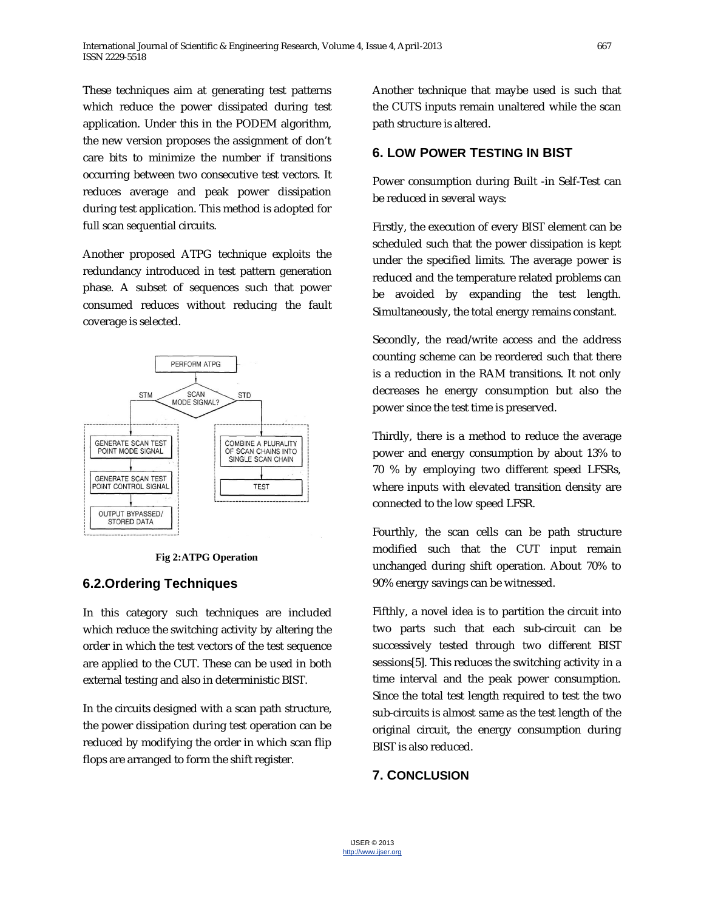These techniques aim at generating test patterns which reduce the power dissipated during test application. Under this in the PODEM algorithm, the new version proposes the assignment of don't care bits to minimize the number if transitions occurring between two consecutive test vectors. It reduces average and peak power dissipation during test application. This method is adopted for full scan sequential circuits.

Another proposed ATPG technique exploits the redundancy introduced in test pattern generation phase. A subset of sequences such that power consumed reduces without reducing the fault coverage is selected.



**Fig 2:ATPG Operation**

# **6.2.Ordering Techniques**

In this category such techniques are included which reduce the switching activity by altering the order in which the test vectors of the test sequence are applied to the CUT. These can be used in both external testing and also in deterministic BIST.

In the circuits designed with a scan path structure, the power dissipation during test operation can be reduced by modifying the order in which scan flip flops are arranged to form the shift register.

Another technique that maybe used is such that the CUTS inputs remain unaltered while the scan path structure is altered.

## **6. LOW POWER TESTING IN BIST**

Power consumption during Built -in Self-Test can be reduced in several ways:

Firstly, the execution of every BIST element can be scheduled such that the power dissipation is kept under the specified limits. The average power is reduced and the temperature related problems can be avoided by expanding the test length. Simultaneously, the total energy remains constant.

Secondly, the read/write access and the address counting scheme can be reordered such that there is a reduction in the RAM transitions. It not only decreases he energy consumption but also the power since the test time is preserved.

Thirdly, there is a method to reduce the average power and energy consumption by about 13% to 70 % by employing two different speed LFSRs, where inputs with elevated transition density are connected to the low speed LFSR.

Fourthly, the scan cells can be path structure modified such that the CUT input remain unchanged during shift operation. About 70% to 90% energy savings can be witnessed.

Fifthly, a novel idea is to partition the circuit into two parts such that each sub-circuit can be successively tested through two different BIST sessions[5]. This reduces the switching activity in a time interval and the peak power consumption. Since the total test length required to test the two sub-circuits is almost same as the test length of the original circuit, the energy consumption during BIST is also reduced.

# **7. CONCLUSION**